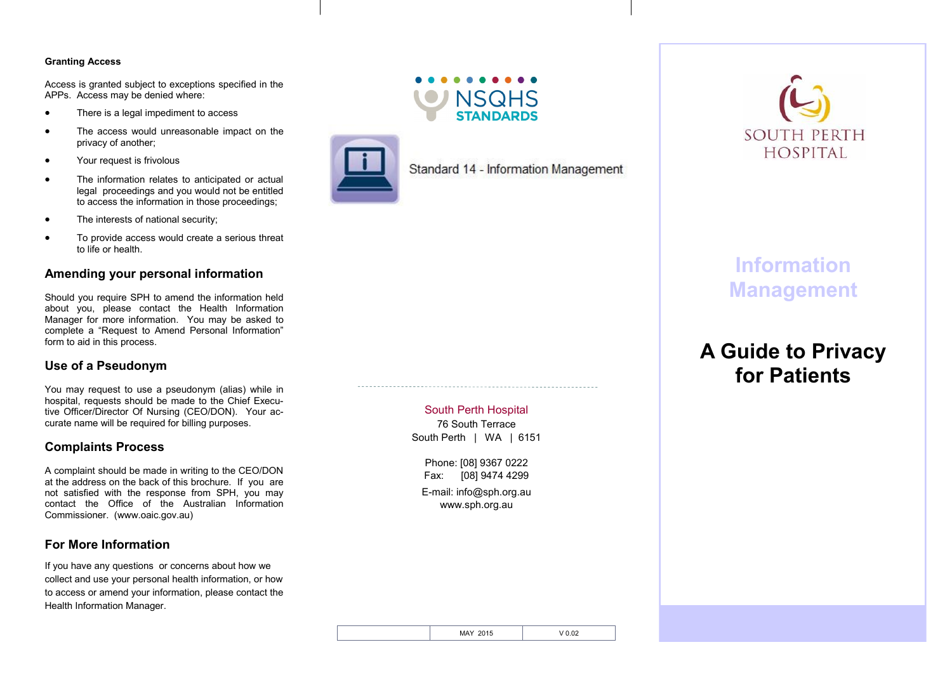### **Granting Access**

Access is granted subject to exceptions specified in the APPs. Access may be denied where:

- There is a legal impediment to access
- The access would unreasonable impact on the privacy of another;
- Your request is frivolous
- The information relates to anticipated or actual legal proceedings and you would not be entitled to access the information in those proceedings;
- The interests of national security:
- To provide access would create a serious threat to life or health.

# **Amending your personal information**

Should you require SPH to amend the information held about you, please contact the Health Information Manager for more information. You may be asked to complete a "Request to Amend Personal Information" form to aid in this process.

# **Use of a Pseudonym**

You may request to use a pseudonym (alias) while in hospital, requests should be made to the Chief Executive Officer/Director Of Nursing (CEO/DON). Your accurate name will be required for billing purposes.

## **Complaints Process**

A complaint should be made in writing to the CEO/DON at the address on the back of this brochure. If you are not satisfied with the response from SPH, you may contact the Office of the Australian Information Commissioner. (www.oaic.gov.au)

# **For More Information**

If you have any questions or concerns about how we collect and use your personal health information, or how to access or amend your information, please contact the Health Information Manager.



**NSQHS** 

Standard 14 - Information Management

# South Perth Hospital

76 South Terrace South Perth | WA | 6151

Phone: [08] 9367 0222 Fax: [08] 9474 4299 E-mail: info@sph.org.au www.sph.org.au



# **Information Management**

# **A Guide to Privacy for Patients**